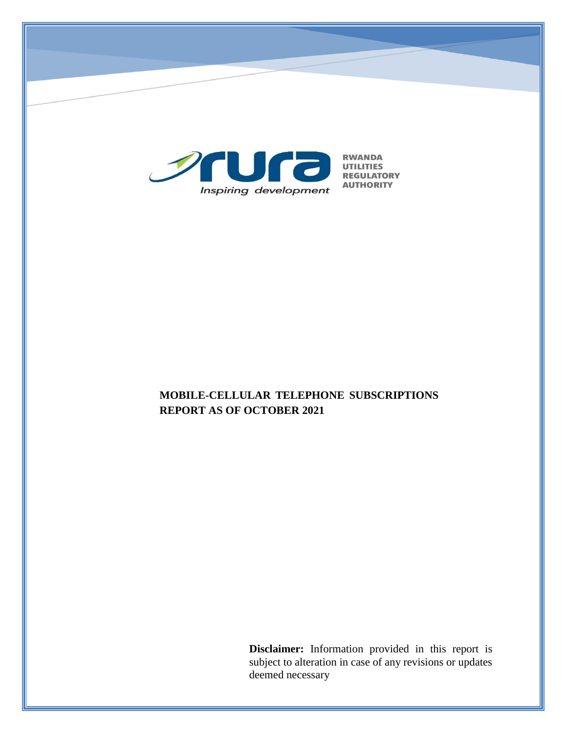

# **MOBILE-CELLULAR TELEPHONE SUBSCRIPTIONS REPORT AS OF OCTOBER 2021**

**Disclaimer:** Information provided in this report is subject to alteration in case of any revisions or updates deemed necessary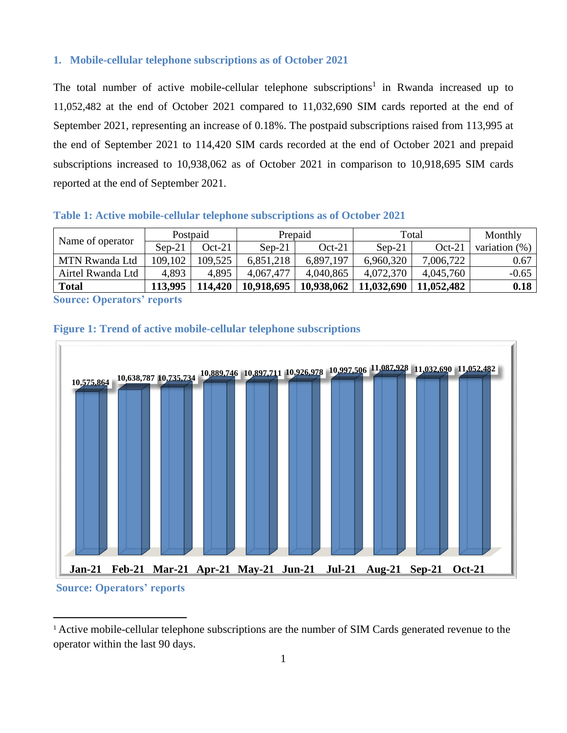### **1. Mobile-cellular telephone subscriptions as of October 2021**

The total number of active mobile-cellular telephone subscriptions<sup>1</sup> in Rwanda increased up to 11,052,482 at the end of October 2021 compared to 11,032,690 SIM cards reported at the end of September 2021, representing an increase of 0.18%. The postpaid subscriptions raised from 113,995 at the end of September 2021 to 114,420 SIM cards recorded at the end of October 2021 and prepaid subscriptions increased to 10,938,062 as of October 2021 in comparison to 10,918,695 SIM cards reported at the end of September 2021.

#### **Table 1: Active mobile-cellular telephone subscriptions as of October 2021**

| Name of operator  | Postpaid |          | Prepaid    |            | Total      |            | Monthly          |
|-------------------|----------|----------|------------|------------|------------|------------|------------------|
|                   | $Sen-21$ | $Oct-21$ | $Sen-21$   | $Oct-21$   | $Sen-21$   | $Oct-21$   | variation $(\%)$ |
| MTN Rwanda Ltd    | 109,102  | 109,525  | 6,851,218  | 6.897.197  | 6,960,320  | 7,006,722  | 0.67             |
| Airtel Rwanda Ltd | 4,893    | 4,895    | 4,067,477  | 4,040,865  | 4,072,370  | 4,045,760  | $-0.65$          |
| <b>Total</b>      | 113.995  | 14.420   | 10,918,695 | 10,938,062 | 11,032,690 | 11.052.482 | 0.18             |

**Source: Operators' reports**

 $\overline{a}$ 

## **Figure 1: Trend of active mobile-cellular telephone subscriptions**



<sup>&</sup>lt;sup>1</sup> Active mobile-cellular telephone subscriptions are the number of SIM Cards generated revenue to the operator within the last 90 days.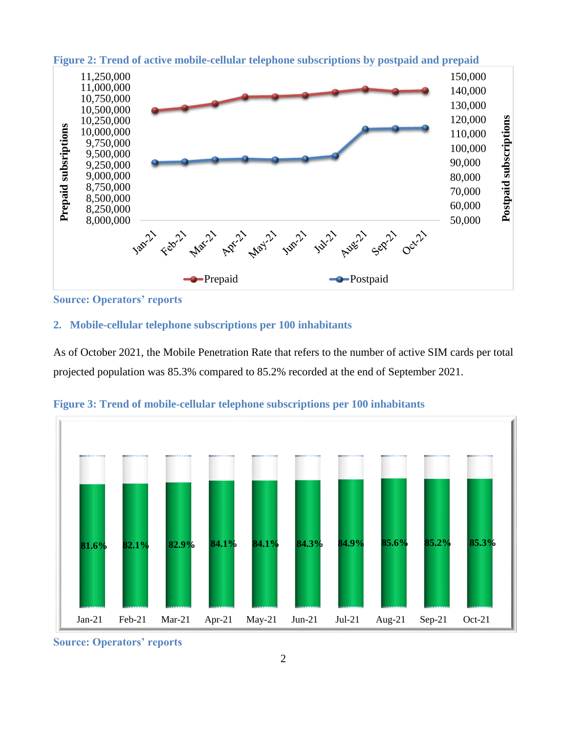

**Figure 2: Trend of active mobile-cellular telephone subscriptions by postpaid and prepaid**

**Source: Operators' reports**

## **2. Mobile-cellular telephone subscriptions per 100 inhabitants**

As of October 2021, the Mobile Penetration Rate that refers to the number of active SIM cards per total projected population was 85.3% compared to 85.2% recorded at the end of September 2021.



**Figure 3: Trend of mobile-cellular telephone subscriptions per 100 inhabitants**

**Source: Operators' reports**